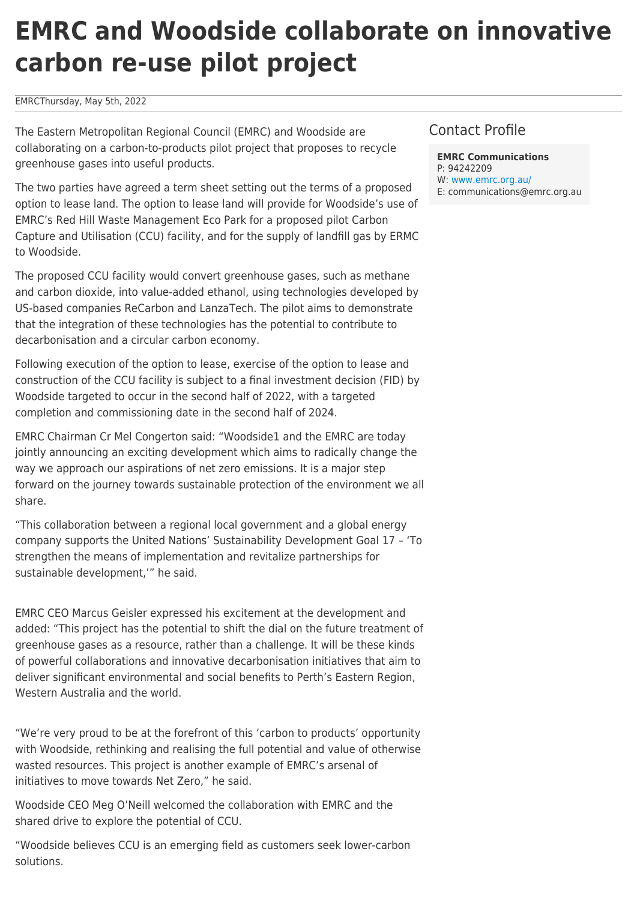# **EMRC and Woodside collaborate on innovative carbon re-use pilot project**

#### EMRCThursday, May 5th, 2022

The Eastern Metropolitan Regional Council (EMRC) and Woodside are collaborating on a carbon-to-products pilot project that proposes to recycle greenhouse gases into useful products.

The two parties have agreed a term sheet setting out the terms of a proposed option to lease land. The option to lease land will provide for Woodside's use of EMRC's Red Hill Waste Management Eco Park for a proposed pilot Carbon Capture and Utilisation (CCU) facility, and for the supply of landfill gas by ERMC to Woodside.

The proposed CCU facility would convert greenhouse gases, such as methane and carbon dioxide, into value-added ethanol, using technologies developed by US-based companies ReCarbon and LanzaTech. The pilot aims to demonstrate that the integration of these technologies has the potential to contribute to decarbonisation and a circular carbon economy.

Following execution of the option to lease, exercise of the option to lease and construction of the CCU facility is subject to a final investment decision (FID) by Woodside targeted to occur in the second half of 2022, with a targeted completion and commissioning date in the second half of 2024.

EMRC Chairman Cr Mel Congerton said: "Woodside1 and the EMRC are today jointly announcing an exciting development which aims to radically change the way we approach our aspirations of net zero emissions. It is a major step forward on the journey towards sustainable protection of the environment we all share.

"This collaboration between a regional local government and a global energy company supports the United Nations' Sustainability Development Goal 17 – 'To strengthen the means of implementation and revitalize partnerships for sustainable development,'" he said.

EMRC CEO Marcus Geisler expressed his excitement at the development and added: "This project has the potential to shift the dial on the future treatment of greenhouse gases as a resource, rather than a challenge. It will be these kinds of powerful collaborations and innovative decarbonisation initiatives that aim to deliver significant environmental and social benefits to Perth's Eastern Region, Western Australia and the world.

"We're very proud to be at the forefront of this 'carbon to products' opportunity with Woodside, rethinking and realising the full potential and value of otherwise wasted resources. This project is another example of EMRC's arsenal of initiatives to move towards Net Zero," he said.

Woodside CEO Meg O'Neill welcomed the collaboration with EMRC and the shared drive to explore the potential of CCU.

"Woodside believes CCU is an emerging field as customers seek lower-carbon solutions.

# Contact Profile

**EMRC Communications** P: 94242209 W: [www.emrc.org.au/](https://www.emrc.org.au/) E: communications@emrc.org.au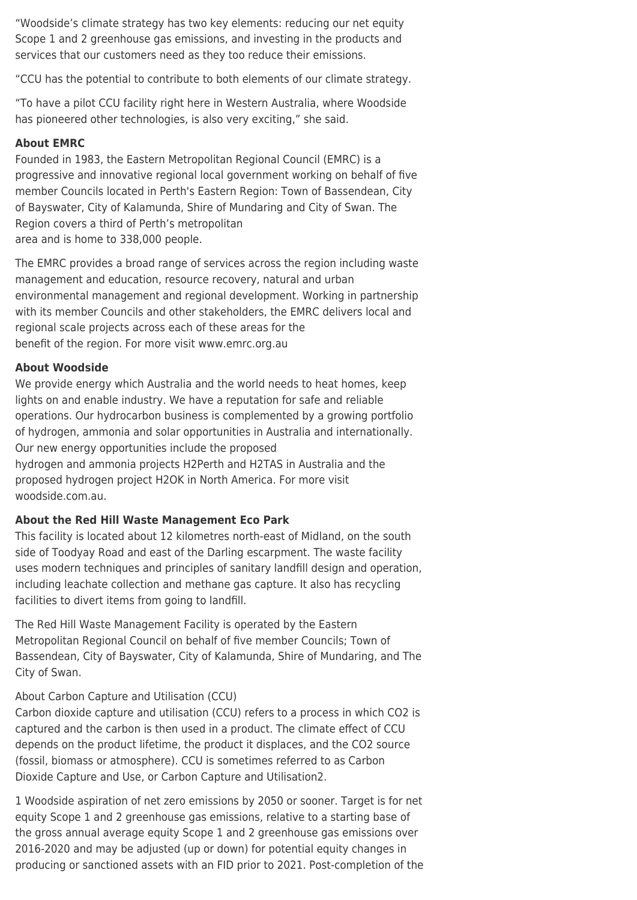"Woodside's climate strategy has two key elements: reducing our net equity Scope 1 and 2 greenhouse gas emissions, and investing in the products and services that our customers need as they too reduce their emissions.

"CCU has the potential to contribute to both elements of our climate strategy.

"To have a pilot CCU facility right here in Western Australia, where Woodside has pioneered other technologies, is also very exciting," she said.

# **About EMRC**

Founded in 1983, the Eastern Metropolitan Regional Council (EMRC) is a progressive and innovative regional local government working on behalf of five member Councils located in Perth's Eastern Region: Town of Bassendean, City of Bayswater, City of Kalamunda, Shire of Mundaring and City of Swan. The Region covers a third of Perth's metropolitan area and is home to 338,000 people.

The EMRC provides a broad range of services across the region including waste management and education, resource recovery, natural and urban environmental management and regional development. Working in partnership with its member Councils and other stakeholders, the EMRC delivers local and regional scale projects across each of these areas for the benefit of the region. For more visit www.emrc.org.au

### **About Woodside**

We provide energy which Australia and the world needs to heat homes, keep lights on and enable industry. We have a reputation for safe and reliable operations. Our hydrocarbon business is complemented by a growing portfolio of hydrogen, ammonia and solar opportunities in Australia and internationally. Our new energy opportunities include the proposed hydrogen and ammonia projects H2Perth and H2TAS in Australia and the proposed hydrogen project H2OK in North America. For more visit woodside.com.au.

### **About the Red Hill Waste Management Eco Park**

This facility is located about 12 kilometres north-east of Midland, on the south side of Toodyay Road and east of the Darling escarpment. The waste facility uses modern techniques and principles of sanitary landfill design and operation, including leachate collection and methane gas capture. It also has recycling facilities to divert items from going to landfill.

The Red Hill Waste Management Facility is operated by the Eastern Metropolitan Regional Council on behalf of five member Councils; Town of Bassendean, City of Bayswater, City of Kalamunda, Shire of Mundaring, and The City of Swan.

# About Carbon Capture and Utilisation (CCU)

Carbon dioxide capture and utilisation (CCU) refers to a process in which CO2 is captured and the carbon is then used in a product. The climate effect of CCU depends on the product lifetime, the product it displaces, and the CO2 source (fossil, biomass or atmosphere). CCU is sometimes referred to as Carbon Dioxide Capture and Use, or Carbon Capture and Utilisation2.

1 Woodside aspiration of net zero emissions by 2050 or sooner. Target is for net equity Scope 1 and 2 greenhouse gas emissions, relative to a starting base of the gross annual average equity Scope 1 and 2 greenhouse gas emissions over 2016-2020 and may be adjusted (up or down) for potential equity changes in producing or sanctioned assets with an FID prior to 2021. Post-completion of the